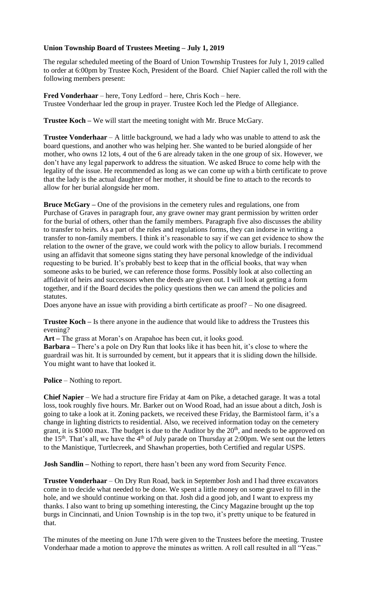## **Union Township Board of Trustees Meeting – July 1, 2019**

The regular scheduled meeting of the Board of Union Township Trustees for July 1, 2019 called to order at 6:00pm by Trustee Koch, President of the Board. Chief Napier called the roll with the following members present:

**Fred Vonderhaar** – here, Tony Ledford – here, Chris Koch – here. Trustee Vonderhaar led the group in prayer. Trustee Koch led the Pledge of Allegiance.

**Trustee Koch –** We will start the meeting tonight with Mr. Bruce McGary.

**Trustee Vonderhaar** – A little background, we had a lady who was unable to attend to ask the board questions, and another who was helping her. She wanted to be buried alongside of her mother, who owns 12 lots, 4 out of the 6 are already taken in the one group of six. However, we don't have any legal paperwork to address the situation. We asked Bruce to come help with the legality of the issue. He recommended as long as we can come up with a birth certificate to prove that the lady is the actual daughter of her mother, it should be fine to attach to the records to allow for her burial alongside her mom.

**Bruce McGary –** One of the provisions in the cemetery rules and regulations, one from Purchase of Graves in paragraph four, any grave owner may grant permission by written order for the burial of others, other than the family members. Paragraph five also discusses the ability to transfer to heirs. As a part of the rules and regulations forms, they can indorse in writing a transfer to non-family members. I think it's reasonable to say if we can get evidence to show the relation to the owner of the grave, we could work with the policy to allow burials. I recommend using an affidavit that someone signs stating they have personal knowledge of the individual requesting to be buried. It's probably best to keep that in the official books, that way when someone asks to be buried, we can reference those forms. Possibly look at also collecting an affidavit of heirs and successors when the deeds are given out. I will look at getting a form together, and if the Board decides the policy questions then we can amend the policies and statutes.

Does anyone have an issue with providing a birth certificate as proof? – No one disagreed.

**Trustee Koch –** Is there anyone in the audience that would like to address the Trustees this evening?

**Art –** The grass at Moran's on Arapahoe has been cut, it looks good.

**Barbara –** There's a pole on Dry Run that looks like it has been hit, it's close to where the guardrail was hit. It is surrounded by cement, but it appears that it is sliding down the hillside. You might want to have that looked it.

**Police** – Nothing to report.

**Chief Napier** – We had a structure fire Friday at 4am on Pike, a detached garage. It was a total loss, took roughly five hours. Mr. Barker out on Wood Road, had an issue about a ditch, Josh is going to take a look at it. Zoning packets, we received these Friday, the Barmistool farm, it's a change in lighting districts to residential. Also, we received information today on the cemetery grant, it is \$1000 max. The budget is due to the Auditor by the  $20<sup>th</sup>$ , and needs to be approved on the 15<sup>th</sup>. That's all, we have the  $4<sup>th</sup>$  of July parade on Thursday at 2:00pm. We sent out the letters to the Manistique, Turtlecreek, and Shawhan properties, both Certified and regular USPS.

**Josh Sandlin –** Nothing to report, there hasn't been any word from Security Fence.

**Trustee Vonderhaar** – On Dry Run Road, back in September Josh and I had three excavators come in to decide what needed to be done. We spent a little money on some gravel to fill in the hole, and we should continue working on that. Josh did a good job, and I want to express my thanks. I also want to bring up something interesting, the Cincy Magazine brought up the top burgs in Cincinnati, and Union Township is in the top two, it's pretty unique to be featured in that.

The minutes of the meeting on June 17th were given to the Trustees before the meeting. Trustee Vonderhaar made a motion to approve the minutes as written. A roll call resulted in all "Yeas."